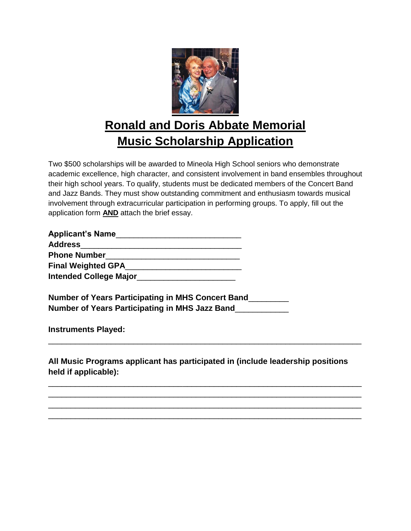

## **Ronald and Doris Abbate Memorial Music Scholarship Application**

Two \$500 scholarships will be awarded to Mineola High School seniors who demonstrate academic excellence, high character, and consistent involvement in band ensembles throughout their high school years. To qualify, students must be dedicated members of the Concert Band and Jazz Bands. They must show outstanding commitment and enthusiasm towards musical involvement through extracurricular participation in performing groups. To apply, fill out the application form **AND** attach the brief essay.

| <b>Applicant's Name</b>       |  |
|-------------------------------|--|
| <b>Address</b>                |  |
| <b>Phone Number</b>           |  |
| <b>Final Weighted GPA</b>     |  |
| <b>Intended College Major</b> |  |

**Number of Years Participating in MHS Concert Band**\_\_\_\_\_\_\_\_\_ **Number of Years Participating in MHS Jazz Band**\_\_\_\_\_\_\_\_\_\_\_\_

**Instruments Played:**

**All Music Programs applicant has participated in (include leadership positions held if applicable):**

\_\_\_\_\_\_\_\_\_\_\_\_\_\_\_\_\_\_\_\_\_\_\_\_\_\_\_\_\_\_\_\_\_\_\_\_\_\_\_\_\_\_\_\_\_\_\_\_\_\_\_\_\_\_\_\_\_\_\_\_\_\_\_\_\_\_\_\_\_\_

\_\_\_\_\_\_\_\_\_\_\_\_\_\_\_\_\_\_\_\_\_\_\_\_\_\_\_\_\_\_\_\_\_\_\_\_\_\_\_\_\_\_\_\_\_\_\_\_\_\_\_\_\_\_\_\_\_\_\_\_\_\_\_\_\_\_\_\_\_\_ \_\_\_\_\_\_\_\_\_\_\_\_\_\_\_\_\_\_\_\_\_\_\_\_\_\_\_\_\_\_\_\_\_\_\_\_\_\_\_\_\_\_\_\_\_\_\_\_\_\_\_\_\_\_\_\_\_\_\_\_\_\_\_\_\_\_\_\_\_\_ \_\_\_\_\_\_\_\_\_\_\_\_\_\_\_\_\_\_\_\_\_\_\_\_\_\_\_\_\_\_\_\_\_\_\_\_\_\_\_\_\_\_\_\_\_\_\_\_\_\_\_\_\_\_\_\_\_\_\_\_\_\_\_\_\_\_\_\_\_\_ \_\_\_\_\_\_\_\_\_\_\_\_\_\_\_\_\_\_\_\_\_\_\_\_\_\_\_\_\_\_\_\_\_\_\_\_\_\_\_\_\_\_\_\_\_\_\_\_\_\_\_\_\_\_\_\_\_\_\_\_\_\_\_\_\_\_\_\_\_\_